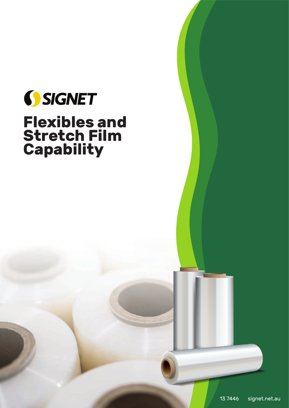

# **Flexibles and Stretch Film Capability**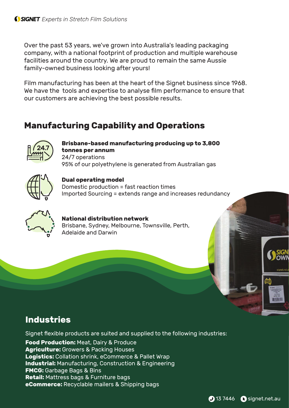Over the past 53 years, we've grown into Australia's leading packaging company, with a national footprint of production and multiple warehouse facilities around the country. We are proud to remain the same Aussie family-owned business looking after yours!

Film manufacturing has been at the heart of the Signet business since 1968. We have the tools and expertise to analyse film performance to ensure that our customers are achieving the best possible results.

# **Manufacturing Capability and Operations**



**Brisbane-based manufacturing producing up to 3,800 tonnes per annum** 24/7 operations 95% of our polyethylene is generated from Australian gas



#### **Dual operating model**

Domestic production = fast reaction times Imported Sourcing = extends range and increases redundancy



**National distribution network** Brisbane, Sydney, Melbourne, Townsville, Perth, Adelaide and Darwin

# **Industries**

Signet flexible products are suited and supplied to the following industries:

**Food Production: Meat, Dairy & Produce Agriculture:** Growers & Packing Houses **Logistics:** Collation shrink, eCommerce & Pallet Wrap **Industrial:** Manufacturing, Construction & Engineering **FMCG:** Garbage Bags & Bins **Retail:** Mattress bags & Furniture bags **eCommerce:** Recyclable mailers & Shipping bags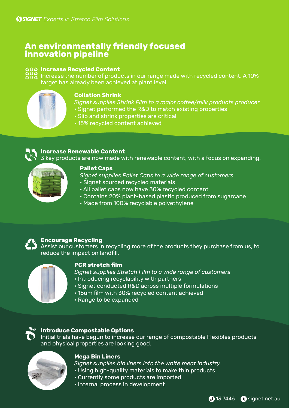## **An environmentally friendly focused innovation pipeline**



Increase the number of products in our range made with recycled content. A 10% target has already been achieved at plant level.

#### **Collation Shrink**

*Signet supplies Shrink Film to a major coffee/milk products producer*

- Signet performed the R&D to match existing properties
- Slip and shrink properties are critical
- 15% recycled content achieved



#### **Increase Renewable Content**

3 key products are now made with renewable content, with a focus on expanding.



#### **Pallet Caps**

*Signet supplies Pallet Caps to a wide range of customers*

- Signet sourced recycled materials
- All pallet caps now have 30% recycled content
- Contains 20% plant-based plastic produced from sugarcane
- Made from 100% recyclable polyethylene



#### **Encourage Recycling**

Assist our customers in recycling more of the products they purchase from us, to reduce the impact on landfill.



#### **PCR stretch film**

*Signet supplies Stretch Film to a wide range of customers*

- Introducing recyclability with partners
- Signet conducted R&D across multiple formulations
- 15um film with 30% recycled content achieved
- Range to be expanded

#### **Introduce Compostable Options**

Initial trials have begun to increase our range of compostable Flexibles products and physical properties are looking good.



#### **Mega Bin Liners**

*Signet supplies bin liners into the white meat industry*

- Using high-quality materials to make thin products
- Currently some products are imported
- Internal process in development